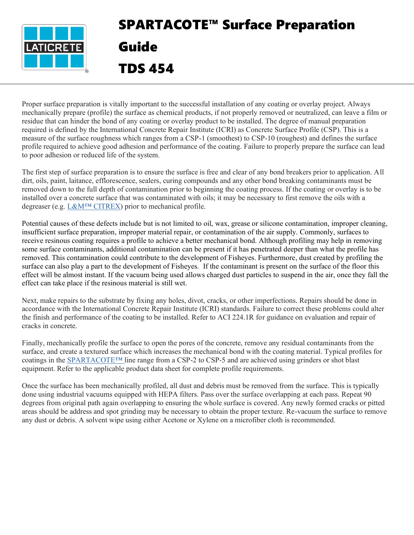

## SPARTACOTE™ Surface Preparation Guide TDS 454

Proper surface preparation is vitally important to the successful installation of any coating or overlay project. Always mechanically prepare (profile) the surface as chemical products, if not properly removed or neutralized, can leave a film or residue that can hinder the bond of any coating or overlay product to be installed. The degree of manual preparation required is defined by the International Concrete Repair Institute (ICRI) as Concrete Surface Profile (CSP). This is a measure of the surface roughness which ranges from a CSP-1 (smoothest) to CSP-10 (roughest) and defines the surface profile required to achieve good adhesion and performance of the coating. Failure to properly prepare the surface can lead to poor adhesion or reduced life of the system.

The first step of surface preparation is to ensure the surface is free and clear of any bond breakers prior to application. All dirt, oils, paint, laitance, efflorescence, sealers, curing compounds and any other bond breaking contaminants must be removed down to the full depth of contamination prior to beginning the coating process. If the coating or overlay is to be installed over a concrete surface that was contaminated with oils; it may be necessary to first remove the oils with a degreaser (e.g. L&M™ CITREX) prior to mechanical profile.

Potential causes of these defects include but is not limited to oil, wax, grease or silicone contamination, improper cleaning, insufficient surface preparation, improper material repair, or contamination of the air supply. Commonly, surfaces to receive resinous coating requires a profile to achieve a better mechanical bond. Although profiling may help in removing some surface contaminants, additional contamination can be present if it has penetrated deeper than what the profile has removed. This contamination could contribute to the development of Fisheyes. Furthermore, dust created by profiling the surface can also play a part to the development of Fisheyes. If the contaminant is present on the surface of the floor this effect will be almost instant. If the vacuum being used allows charged dust particles to suspend in the air, once they fall the effect can take place if the resinous material is still wet.

Next, make repairs to the substrate by fixing any holes, divot, cracks, or other imperfections. Repairs should be done in accordance with the International Concrete Repair Institute (ICRI) standards. Failure to correct these problems could alter the finish and performance of the coating to be installed. Refer to ACI 224.1R for guidance on evaluation and repair of cracks in concrete.

Finally, mechanically profile the surface to open the pores of the concrete, remove any residual contaminants from the surface, and create a textured surface which increases the mechanical bond with the coating material. Typical profiles for coatings in the SPARTACOTE™ line range from a CSP-2 to CSP-5 and are achieved using grinders or shot blast equipment. Refer to the applicable product data sheet for complete profile requirements.

Once the surface has been mechanically profiled, all dust and debris must be removed from the surface. This is typically done using industrial vacuums equipped with HEPA filters. Pass over the surface overlapping at each pass. Repeat 90 degrees from original path again overlapping to ensuring the whole surface is covered. Any newly formed cracks or pitted areas should be address and spot grinding may be necessary to obtain the proper texture. Re-vacuum the surface to remove any dust or debris. A solvent wipe using either Acetone or Xylene on a microfiber cloth is recommended.